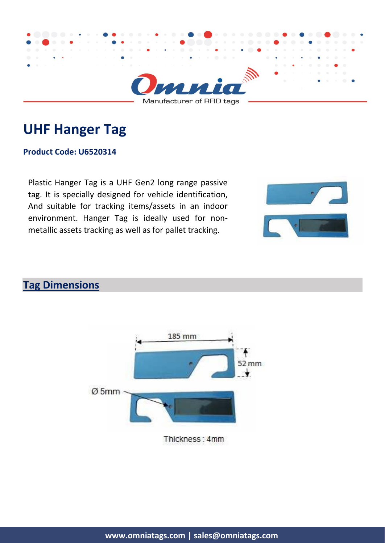

# **UHF Hanger Tag**

#### **Product Code: U6520314**

Plastic Hanger Tag is a UHF Gen2 long range passive tag. It is specially designed for vehicle identification, And suitable for tracking items/assets in an indoor environment. Hanger Tag is ideally used for nonmetallic assets tracking as well as for pallet tracking.



## **Tag Dimensions**



Thickness: 4mm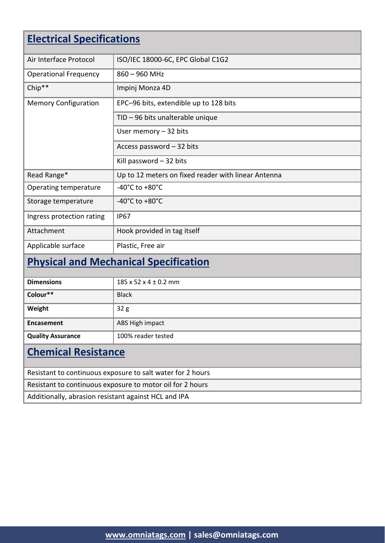| <b>Electrical Specifications</b>                           |                                                     |  |
|------------------------------------------------------------|-----------------------------------------------------|--|
|                                                            |                                                     |  |
| Air Interface Protocol                                     | ISO/IEC 18000-6C, EPC Global C1G2                   |  |
| <b>Operational Frequency</b>                               | $860 - 960$ MHz                                     |  |
| Chip**                                                     | Impinj Monza 4D                                     |  |
| <b>Memory Configuration</b>                                | EPC-96 bits, extendible up to 128 bits              |  |
|                                                            | TID - 96 bits unalterable unique                    |  |
|                                                            | User memory $-32$ bits                              |  |
|                                                            | Access password - 32 bits                           |  |
|                                                            | Kill password $-32$ bits                            |  |
| Read Range*                                                | Up to 12 meters on fixed reader with linear Antenna |  |
| Operating temperature                                      | -40 $^{\circ}$ C to +80 $^{\circ}$ C                |  |
| Storage temperature                                        | -40°C to +80°C                                      |  |
| Ingress protection rating                                  | <b>IP67</b>                                         |  |
| Attachment                                                 | Hook provided in tag itself                         |  |
| Applicable surface                                         | Plastic, Free air                                   |  |
| <b>Physical and Mechanical Specification</b>               |                                                     |  |
| <b>Dimensions</b>                                          | 185 x 52 x 4 ± 0.2 mm                               |  |
| Colour**                                                   | <b>Black</b>                                        |  |
| Weight                                                     | 32 <sub>g</sub>                                     |  |
| <b>Encasement</b>                                          | ABS High impact                                     |  |
| <b>Quality Assurance</b>                                   | 100% reader tested                                  |  |
| <b>Chemical Resistance</b>                                 |                                                     |  |
| Resistant to continuous exposure to salt water for 2 hours |                                                     |  |
| Resistant to continuous exposure to motor oil for 2 hours  |                                                     |  |
| Additionally, abrasion resistant against HCL and IPA       |                                                     |  |